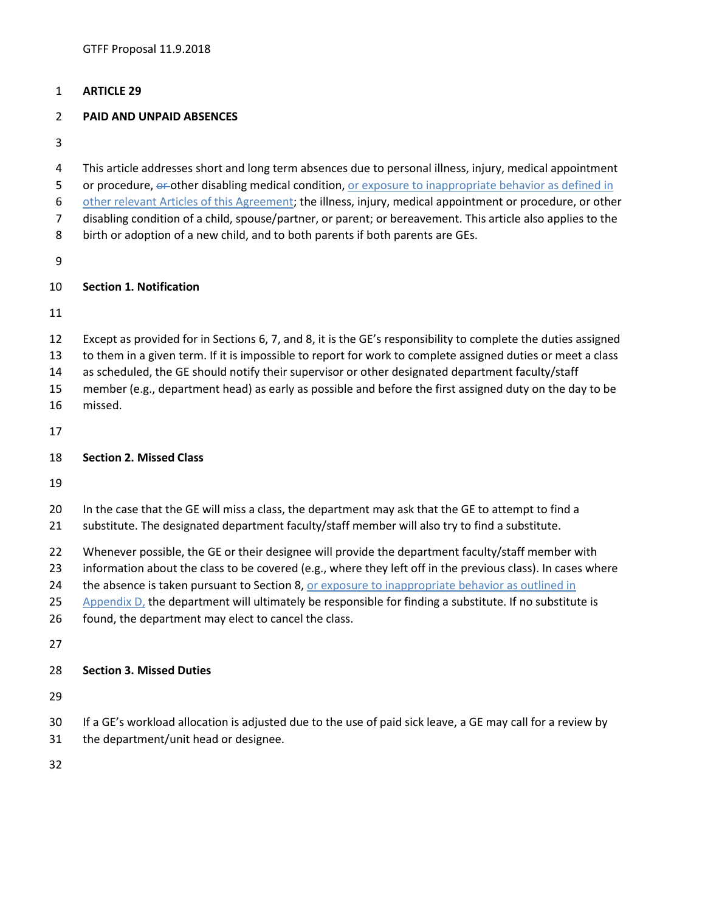### **ARTICLE 29**

### **PAID AND UNPAID ABSENCES**

 This article addresses short and long term absences due to personal illness, injury, medical appointment 5 or procedure,  $\theta$ -other disabling medical condition, or exposure to inappropriate behavior as defined in 6 other relevant Articles of this Agreement; the illness, injury, medical appointment or procedure, or other disabling condition of a child, spouse/partner, or parent; or bereavement. This article also applies to the birth or adoption of a new child, and to both parents if both parents are GEs.

### **Section 1. Notification**

- Except as provided for in Sections 6, 7, and 8, it is the GE's responsibility to complete the duties assigned
- to them in a given term. If it is impossible to report for work to complete assigned duties or meet a class
- as scheduled, the GE should notify their supervisor or other designated department faculty/staff
- member (e.g., department head) as early as possible and before the first assigned duty on the day to be
- missed.

### **Section 2. Missed Class**

- 20 In the case that the GE will miss a class, the department may ask that the GE to attempt to find a
- substitute. The designated department faculty/staff member will also try to find a substitute.
- 22 Whenever possible, the GE or their designee will provide the department faculty/staff member with
- information about the class to be covered (e.g., where they left off in the previous class). In cases where
- 24 the absence is taken pursuant to Section 8, or exposure to inappropriate behavior as outlined in
- 25 Appendix  $D<sub>i</sub>$  the department will ultimately be responsible for finding a substitute. If no substitute is
- found, the department may elect to cancel the class.
- 

### **Section 3. Missed Duties**

- If a GE's workload allocation is adjusted due to the use of paid sick leave, a GE may call for a review by
- the department/unit head or designee.
-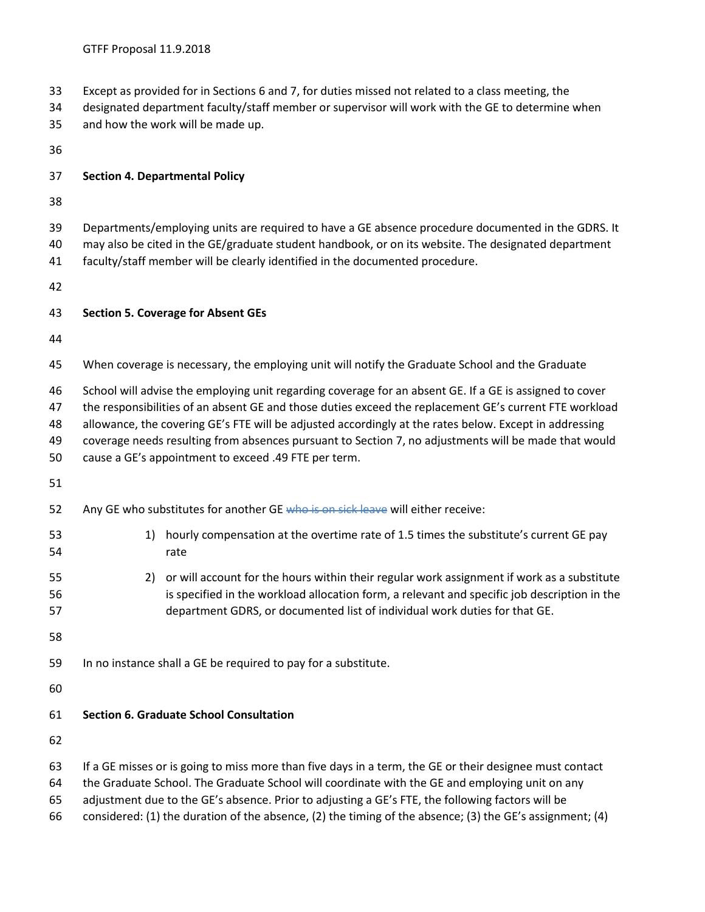- Except as provided for in Sections 6 and 7, for duties missed not related to a class meeting, the
- designated department faculty/staff member or supervisor will work with the GE to determine when
- and how the work will be made up.
- 

### **Section 4. Departmental Policy**

- 
- Departments/employing units are required to have a GE absence procedure documented in the GDRS. It
- may also be cited in the GE/graduate student handbook, or on its website. The designated department
- faculty/staff member will be clearly identified in the documented procedure.
- 

## **Section 5. Coverage for Absent GEs**

- When coverage is necessary, the employing unit will notify the Graduate School and the Graduate
- School will advise the employing unit regarding coverage for an absent GE. If a GE is assigned to cover
- the responsibilities of an absent GE and those duties exceed the replacement GE's current FTE workload
- allowance, the covering GE's FTE will be adjusted accordingly at the rates below. Except in addressing
- coverage needs resulting from absences pursuant to Section 7, no adjustments will be made that would
- cause a GE's appointment to exceed .49 FTE per term.
- 
- 52 Any GE who substitutes for another GE who is on sick leave will either receive:
- 53 1) hourly compensation at the overtime rate of 1.5 times the substitute's current GE pay rate
- 2) or will account for the hours within their regular work assignment if work as a substitute is specified in the workload allocation form, a relevant and specific job description in the department GDRS, or documented list of individual work duties for that GE.
- 
- In no instance shall a GE be required to pay for a substitute.

### **Section 6. Graduate School Consultation**

- If a GE misses or is going to miss more than five days in a term, the GE or their designee must contact
- the Graduate School. The Graduate School will coordinate with the GE and employing unit on any
- adjustment due to the GE's absence. Prior to adjusting a GE's FTE, the following factors will be
- considered: (1) the duration of the absence, (2) the timing of the absence; (3) the GE's assignment; (4)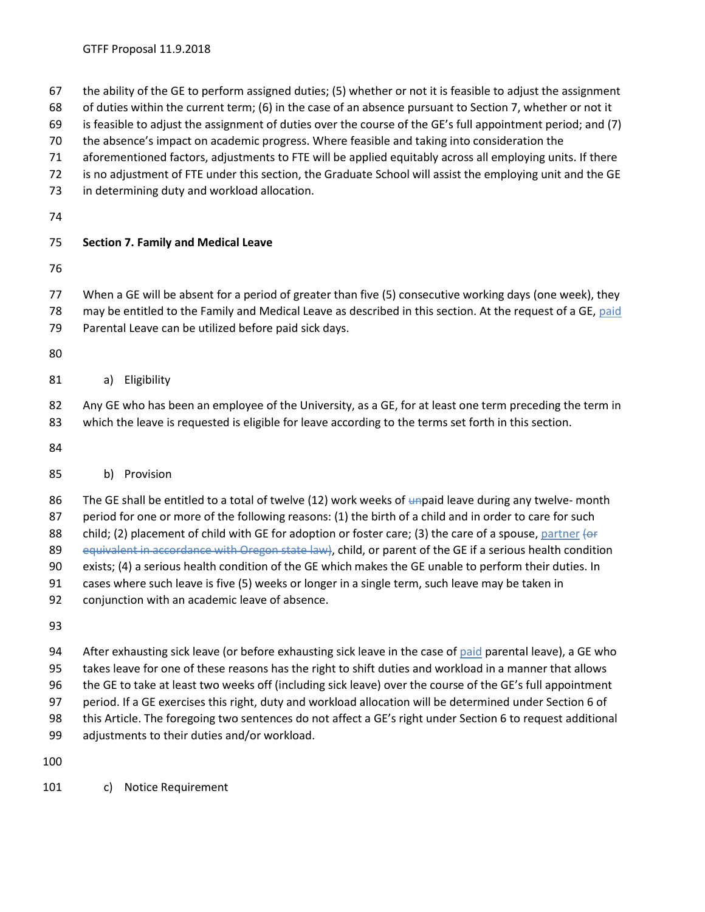- the ability of the GE to perform assigned duties; (5) whether or not it is feasible to adjust the assignment
- of duties within the current term; (6) in the case of an absence pursuant to Section 7, whether or not it
- is feasible to adjust the assignment of duties over the course of the GE's full appointment period; and (7)
- the absence's impact on academic progress. Where feasible and taking into consideration the
- aforementioned factors, adjustments to FTE will be applied equitably across all employing units. If there
- is no adjustment of FTE under this section, the Graduate School will assist the employing unit and the GE
- in determining duty and workload allocation.
- 

## **Section 7. Family and Medical Leave**

- 
- When a GE will be absent for a period of greater than five (5) consecutive working days (one week), they 78 may be entitled to the Family and Medical Leave as described in this section. At the request of a GE, paid
- Parental Leave can be utilized before paid sick days.
- 
- a) Eligibility
- 82 Any GE who has been an employee of the University, as a GE, for at least one term preceding the term in which the leave is requested is eligible for leave according to the terms set forth in this section.
- 
- b) Provision

86 The GE shall be entitled to a total of twelve (12) work weeks of unpaid leave during any twelve- month period for one or more of the following reasons: (1) the birth of a child and in order to care for such 88 child; (2) placement of child with GE for adoption or foster care; (3) the care of a spouse, partner  $\left\{ \right.$  or 89 equivalent in accordance with Oregon state law), child, or parent of the GE if a serious health condition exists; (4) a serious health condition of the GE which makes the GE unable to perform their duties. In cases where such leave is five (5) weeks or longer in a single term, such leave may be taken in

- conjunction with an academic leave of absence.
- 

94 After exhausting sick leave (or before exhausting sick leave in the case of paid parental leave), a GE who takes leave for one of these reasons has the right to shift duties and workload in a manner that allows the GE to take at least two weeks off (including sick leave) over the course of the GE's full appointment period. If a GE exercises this right, duty and workload allocation will be determined under Section 6 of this Article. The foregoing two sentences do not affect a GE's right under Section 6 to request additional adjustments to their duties and/or workload.

c) Notice Requirement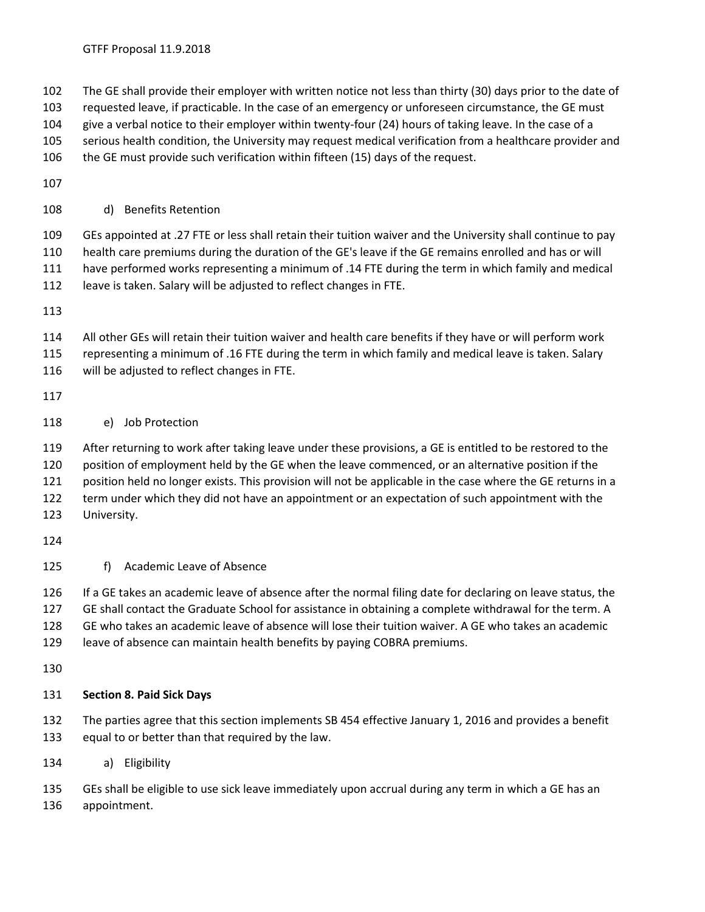The GE shall provide their employer with written notice not less than thirty (30) days prior to the date of

- requested leave, if practicable. In the case of an emergency or unforeseen circumstance, the GE must
- give a verbal notice to their employer within twenty-four (24) hours of taking leave. In the case of a
- serious health condition, the University may request medical verification from a healthcare provider and

the GE must provide such verification within fifteen (15) days of the request.

## d) Benefits Retention

 GEs appointed at .27 FTE or less shall retain their tuition waiver and the University shall continue to pay health care premiums during the duration of the GE's leave if the GE remains enrolled and has or will have performed works representing a minimum of .14 FTE during the term in which family and medical leave is taken. Salary will be adjusted to reflect changes in FTE.

All other GEs will retain their tuition waiver and health care benefits if they have or will perform work

representing a minimum of .16 FTE during the term in which family and medical leave is taken. Salary

will be adjusted to reflect changes in FTE.

# e) Job Protection

 After returning to work after taking leave under these provisions, a GE is entitled to be restored to the position of employment held by the GE when the leave commenced, or an alternative position if the position held no longer exists. This provision will not be applicable in the case where the GE returns in a term under which they did not have an appointment or an expectation of such appointment with the University.

# f) Academic Leave of Absence

 If a GE takes an academic leave of absence after the normal filing date for declaring on leave status, the 127 GE shall contact the Graduate School for assistance in obtaining a complete withdrawal for the term. A GE who takes an academic leave of absence will lose their tuition waiver. A GE who takes an academic leave of absence can maintain health benefits by paying COBRA premiums.

# **Section 8. Paid Sick Days**

 The parties agree that this section implements SB 454 effective January 1, 2016 and provides a benefit equal to or better than that required by the law.

a) Eligibility

GEs shall be eligible to use sick leave immediately upon accrual during any term in which a GE has an

appointment.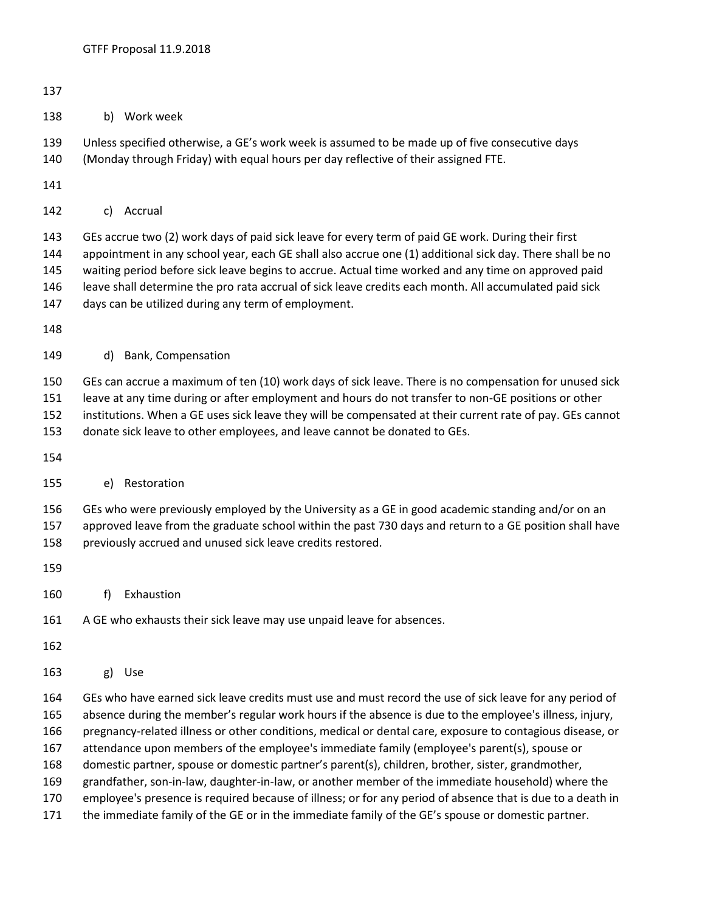- 
- b) Work week

 Unless specified otherwise, a GE's work week is assumed to be made up of five consecutive days (Monday through Friday) with equal hours per day reflective of their assigned FTE.

- 
- c) Accrual

 GEs accrue two (2) work days of paid sick leave for every term of paid GE work. During their first appointment in any school year, each GE shall also accrue one (1) additional sick day. There shall be no waiting period before sick leave begins to accrue. Actual time worked and any time on approved paid leave shall determine the pro rata accrual of sick leave credits each month. All accumulated paid sick days can be utilized during any term of employment.

#### d) Bank, Compensation

GEs can accrue a maximum of ten (10) work days of sick leave. There is no compensation for unused sick

leave at any time during or after employment and hours do not transfer to non-GE positions or other

 institutions. When a GE uses sick leave they will be compensated at their current rate of pay. GEs cannot donate sick leave to other employees, and leave cannot be donated to GEs.

### e) Restoration

GEs who were previously employed by the University as a GE in good academic standing and/or on an

- approved leave from the graduate school within the past 730 days and return to a GE position shall have previously accrued and unused sick leave credits restored.
- 
- f) Exhaustion

### A GE who exhausts their sick leave may use unpaid leave for absences.

- 
- g) Use

 GEs who have earned sick leave credits must use and must record the use of sick leave for any period of absence during the member's regular work hours if the absence is due to the employee's illness, injury, pregnancy-related illness or other conditions, medical or dental care, exposure to contagious disease, or attendance upon members of the employee's immediate family (employee's parent(s), spouse or domestic partner, spouse or domestic partner's parent(s), children, brother, sister, grandmother, grandfather, son-in-law, daughter-in-law, or another member of the immediate household) where the employee's presence is required because of illness; or for any period of absence that is due to a death in

the immediate family of the GE or in the immediate family of the GE's spouse or domestic partner.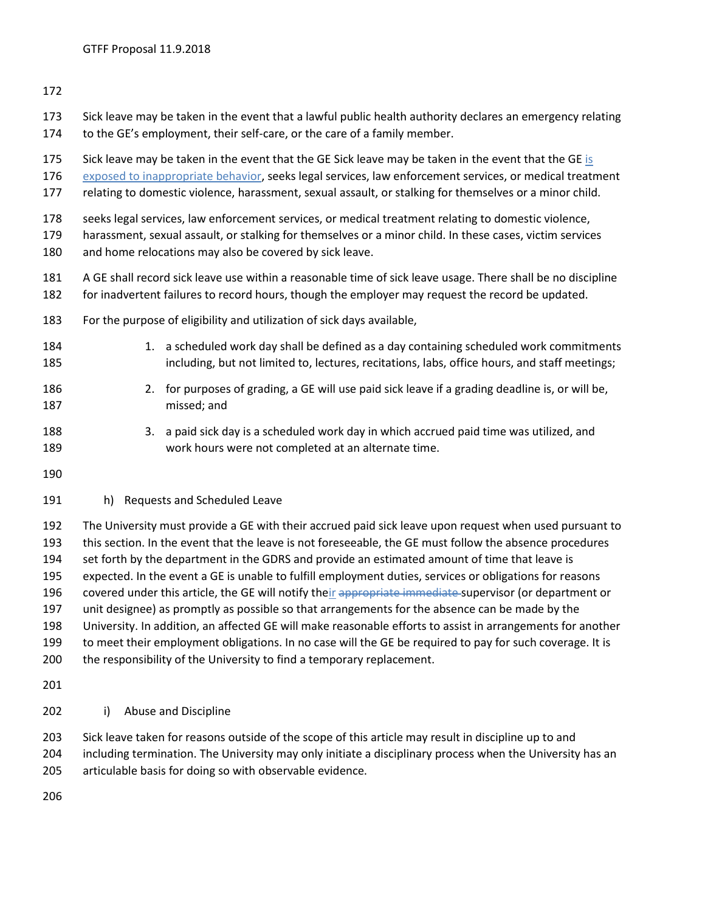- Sick leave may be taken in the event that a lawful public health authority declares an emergency relating to the GE's employment, their self-care, or the care of a family member.
- Sick leave may be taken in the event that the GE Sick leave may be taken in the event that the GE is
- 176 exposed to inappropriate behavior, seeks legal services, law enforcement services, or medical treatment
- relating to domestic violence, harassment, sexual assault, or stalking for themselves or a minor child.
- seeks legal services, law enforcement services, or medical treatment relating to domestic violence,
- harassment, sexual assault, or stalking for themselves or a minor child. In these cases, victim services
- and home relocations may also be covered by sick leave.
- A GE shall record sick leave use within a reasonable time of sick leave usage. There shall be no discipline
- for inadvertent failures to record hours, though the employer may request the record be updated.
- For the purpose of eligibility and utilization of sick days available,
- 184 1. a scheduled work day shall be defined as a day containing scheduled work commitments including, but not limited to, lectures, recitations, labs, office hours, and staff meetings;
- 2. for purposes of grading, a GE will use paid sick leave if a grading deadline is, or will be, missed; and
- 188 3. a paid sick day is a scheduled work day in which accrued paid time was utilized, and work hours were not completed at an alternate time.
- 
- h) Requests and Scheduled Leave

 The University must provide a GE with their accrued paid sick leave upon request when used pursuant to this section. In the event that the leave is not foreseeable, the GE must follow the absence procedures set forth by the department in the GDRS and provide an estimated amount of time that leave is expected. In the event a GE is unable to fulfill employment duties, services or obligations for reasons 196 covered under this article, the GE will notify their appropriate immediate-supervisor (or department or unit designee) as promptly as possible so that arrangements for the absence can be made by the University. In addition, an affected GE will make reasonable efforts to assist in arrangements for another to meet their employment obligations. In no case will the GE be required to pay for such coverage. It is 200 the responsibility of the University to find a temporary replacement.

- 
- i) Abuse and Discipline

 Sick leave taken for reasons outside of the scope of this article may result in discipline up to and including termination. The University may only initiate a disciplinary process when the University has an articulable basis for doing so with observable evidence.